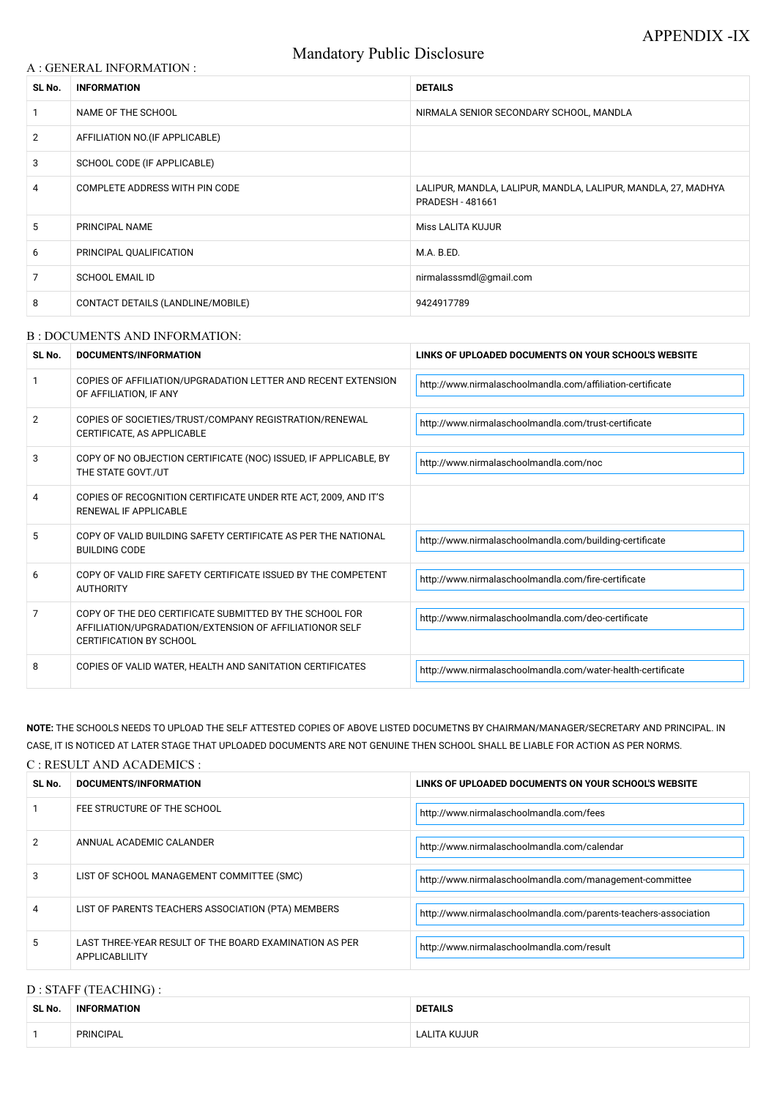# Mandatory Public Disclosure

### A : GENERAL INFORMATION :

| SL No.         | <b>INFORMATION</b>                | <b>DETAILS</b>                                                                           |  |
|----------------|-----------------------------------|------------------------------------------------------------------------------------------|--|
|                | NAME OF THE SCHOOL                | NIRMALA SENIOR SECONDARY SCHOOL, MANDLA                                                  |  |
| $\overline{2}$ | AFFILIATION NO. (IF APPLICABLE)   |                                                                                          |  |
| 3              | SCHOOL CODE (IF APPLICABLE)       |                                                                                          |  |
| 4              | COMPLETE ADDRESS WITH PIN CODE    | LALIPUR, MANDLA, LALIPUR, MANDLA, LALIPUR, MANDLA, 27, MADHYA<br><b>PRADESH - 481661</b> |  |
| 5              | PRINCIPAL NAME                    | <b>Miss LALITA KUJUR</b>                                                                 |  |
| 6              | PRINCIPAL QUALIFICATION           | M.A. B.ED.                                                                               |  |
| 7              | <b>SCHOOL EMAIL ID</b>            | nirmalasssmdl@gmail.com                                                                  |  |
| 8              | CONTACT DETAILS (LANDLINE/MOBILE) | 9424917789                                                                               |  |

#### B : DOCUMENTS AND INFORMATION:

| SL No. | DOCUMENTS/INFORMATION                                                                                                                                | LINKS OF UPLOADED DOCUMENTS ON YOUR SCHOOL'S WEBSITE        |
|--------|------------------------------------------------------------------------------------------------------------------------------------------------------|-------------------------------------------------------------|
|        | COPIES OF AFFILIATION/UPGRADATION LETTER AND RECENT EXTENSION<br>OF AFFILIATION, IF ANY                                                              | http://www.nirmalaschoolmandla.com/affiliation-certificate  |
| 2      | COPIES OF SOCIETIES/TRUST/COMPANY REGISTRATION/RENEWAL<br>CERTIFICATE, AS APPLICABLE                                                                 | http://www.nirmalaschoolmandla.com/trust-certificate        |
| 3      | COPY OF NO OBJECTION CERTIFICATE (NOC) ISSUED, IF APPLICABLE, BY<br>THE STATE GOVT./UT                                                               | http://www.nirmalaschoolmandla.com/noc                      |
| 4      | COPIES OF RECOGNITION CERTIFICATE UNDER RTE ACT, 2009, AND IT'S<br>RENEWAL IF APPLICABLE                                                             |                                                             |
| 5      | COPY OF VALID BUILDING SAFETY CERTIFICATE AS PER THE NATIONAL<br><b>BUILDING CODE</b>                                                                | http://www.nirmalaschoolmandla.com/building-certificate     |
| 6      | COPY OF VALID FIRE SAFETY CERTIFICATE ISSUED BY THE COMPETENT<br><b>AUTHORITY</b>                                                                    | http://www.nirmalaschoolmandla.com/fire-certificate         |
| 7      | COPY OF THE DEO CERTIFICATE SUBMITTED BY THE SCHOOL FOR<br>AFFILIATION/UPGRADATION/EXTENSION OF AFFILIATIONOR SELF<br><b>CERTIFICATION BY SCHOOL</b> | http://www.nirmalaschoolmandla.com/deo-certificate          |
| 8      | COPIES OF VALID WATER, HEALTH AND SANITATION CERTIFICATES                                                                                            | http://www.nirmalaschoolmandla.com/water-health-certificate |

| 2 | ANNUAL ACADEMIC CALANDER                                                 | http://www.nirmalaschoolmandla.com/calendar                     |
|---|--------------------------------------------------------------------------|-----------------------------------------------------------------|
| 3 | LIST OF SCHOOL MANAGEMENT COMMITTEE (SMC)                                | http://www.nirmalaschoolmandla.com/management-committee         |
| 4 | LIST OF PARENTS TEACHERS ASSOCIATION (PTA) MEMBERS                       | http://www.nirmalaschoolmandla.com/parents-teachers-association |
| 5 | LAST THREE-YEAR RESULT OF THE BOARD EXAMINATION AS PER<br>APPLICABLILITY | http://www.nirmalaschoolmandla.com/result                       |

**NOTE:** THE SCHOOLS NEEDS TO UPLOAD THE SELF ATTESTED COPIES OF ABOVE LISTED DOCUMETNS BY CHAIRMAN/MANAGER/SECRETARY AND PRINCIPAL. IN CASE, IT IS NOTICED AT LATER STAGE THAT UPLOADED DOCUMENTS ARE NOT GENUINE THEN SCHOOL SHALL BE LIABLE FOR ACTION AS PER NORMS.

#### C : RESULT AND ACADEMICS :

| SL No. | DOCUMENTS/INFORMATION       | LINKS OF UPLOADED DOCUMENTS ON YOUR SCHOOL'S WEBSITE |
|--------|-----------------------------|------------------------------------------------------|
|        | FEE STRUCTURE OF THE SCHOOL | http://www.nirmalaschoolmandla.com/fees              |

# D : STAFF (TEACHING) :

| SL No. | <b>INFORMATION</b> | <b>DETAILS</b>    |  |
|--------|--------------------|-------------------|--|
|        | <b>PRINCIPAL</b>   | .ujur<br>$\Delta$ |  |